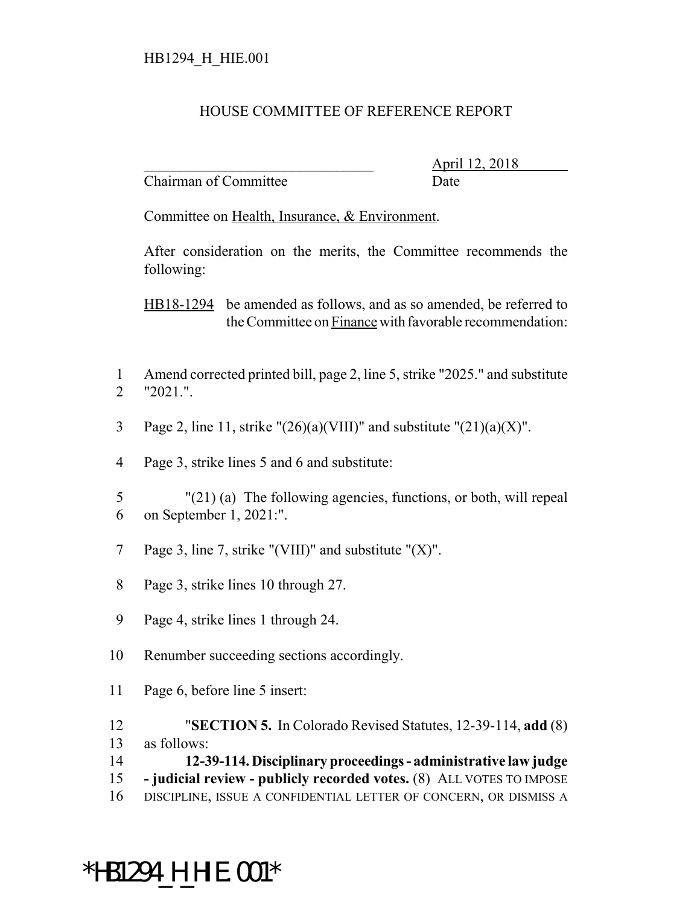## HOUSE COMMITTEE OF REFERENCE REPORT

Chairman of Committee Date

\_\_\_\_\_\_\_\_\_\_\_\_\_\_\_\_\_\_\_\_\_\_\_\_\_\_\_\_\_\_\_ April 12, 2018

Committee on Health, Insurance, & Environment.

After consideration on the merits, the Committee recommends the following:

HB18-1294 be amended as follows, and as so amended, be referred to the Committee on Finance with favorable recommendation:

- 1 Amend corrected printed bill, page 2, line 5, strike "2025." and substitute 2 "2021.".
- 3 Page 2, line 11, strike " $(26)(a)(VIII)$ " and substitute " $(21)(a)(X)$ ".
- 4 Page 3, strike lines 5 and 6 and substitute:
- 5 "(21) (a) The following agencies, functions, or both, will repeal 6 on September 1, 2021:".
- 7 Page 3, line 7, strike "(VIII)" and substitute " $(X)$ ".
- 8 Page 3, strike lines 10 through 27.
- 9 Page 4, strike lines 1 through 24.
- 10 Renumber succeeding sections accordingly.
- 11 Page 6, before line 5 insert:
- 12 "**SECTION 5.** In Colorado Revised Statutes, 12-39-114, **add** (8)
- 13 as follows:
- 14 **12-39-114. Disciplinary proceedings administrative law judge**
- 15  **judicial review publicly recorded votes.** (8) ALL VOTES TO IMPOSE
- 16 DISCIPLINE, ISSUE A CONFIDENTIAL LETTER OF CONCERN, OR DISMISS A

## \*HB1294\_H\_HIE.001\*